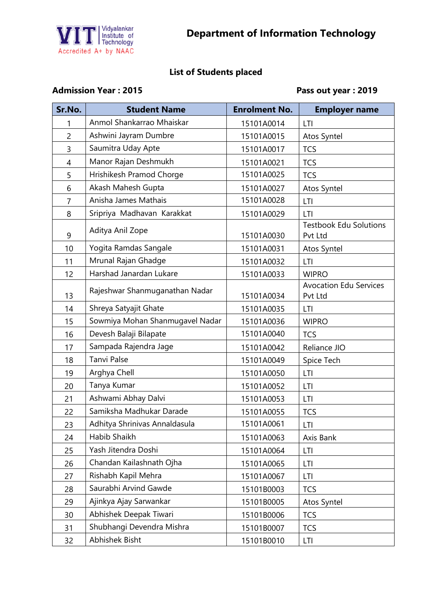

## **List of Students placed**

## Admission Year : 2015 **Pass out year : 2019**

| Sr.No.         | <b>Student Name</b>             | <b>Enrolment No.</b> | <b>Employer name</b>                     |
|----------------|---------------------------------|----------------------|------------------------------------------|
|                | Anmol Shankarrao Mhaiskar       | 15101A0014           | LTI                                      |
| $\overline{c}$ | Ashwini Jayram Dumbre           | 15101A0015           | Atos Syntel                              |
| 3              | Saumitra Uday Apte              | 15101A0017           | <b>TCS</b>                               |
| 4              | Manor Rajan Deshmukh            | 15101A0021           | <b>TCS</b>                               |
| 5              | Hrishikesh Pramod Chorge        | 15101A0025           | <b>TCS</b>                               |
| 6              | Akash Mahesh Gupta              | 15101A0027           | Atos Syntel                              |
| 7              | Anisha James Mathais            | 15101A0028           | LTI                                      |
| 8              | Sripriya Madhavan Karakkat      | 15101A0029           | LTI                                      |
| 9              | Aditya Anil Zope                | 15101A0030           | <b>Testbook Edu Solutions</b><br>Pvt Ltd |
| 10             | Yogita Ramdas Sangale           | 15101A0031           | Atos Syntel                              |
| 11             | Mrunal Rajan Ghadge             | 15101A0032           | LTI                                      |
| 12             | Harshad Janardan Lukare         | 15101A0033           | <b>WIPRO</b>                             |
| 13             | Rajeshwar Shanmuganathan Nadar  | 15101A0034           | <b>Avocation Edu Services</b><br>Pvt Ltd |
| 14             | Shreya Satyajit Ghate           | 15101A0035           | LTI                                      |
| 15             | Sowmiya Mohan Shanmugavel Nadar | 15101A0036           | <b>WIPRO</b>                             |
| 16             | Devesh Balaji Bilapate          | 15101A0040           | <b>TCS</b>                               |
| 17             | Sampada Rajendra Jage           | 15101A0042           | Reliance JIO                             |
| 18             | <b>Tanvi Palse</b>              | 15101A0049           | Spice Tech                               |
| 19             | Arghya Chell                    | 15101A0050           | LTI                                      |
| 20             | Tanya Kumar                     | 15101A0052           | LTI                                      |
| 21             | Ashwami Abhay Dalvi             | 15101A0053           | LTI                                      |
| 22             | Samiksha Madhukar Darade        | 15101A0055           | <b>TCS</b>                               |
| 23             | Adhitya Shrinivas Annaldasula   | 15101A0061           | LTI                                      |
| 24             | Habib Shaikh                    | 15101A0063           | Axis Bank                                |
| 25             | Yash Jitendra Doshi             | 15101A0064           | LTI                                      |
| 26             | Chandan Kailashnath Ojha        | 15101A0065           | LTI                                      |
| 27             | Rishabh Kapil Mehra             | 15101A0067           | LTI                                      |
| 28             | Saurabhi Arvind Gawde           | 15101B0003           | <b>TCS</b>                               |
| 29             | Ajinkya Ajay Sarwankar          | 15101B0005           | Atos Syntel                              |
| 30             | Abhishek Deepak Tiwari          | 15101B0006           | <b>TCS</b>                               |
| 31             | Shubhangi Devendra Mishra       | 15101B0007           | <b>TCS</b>                               |
| 32             | Abhishek Bisht                  | 15101B0010           | <b>LTI</b>                               |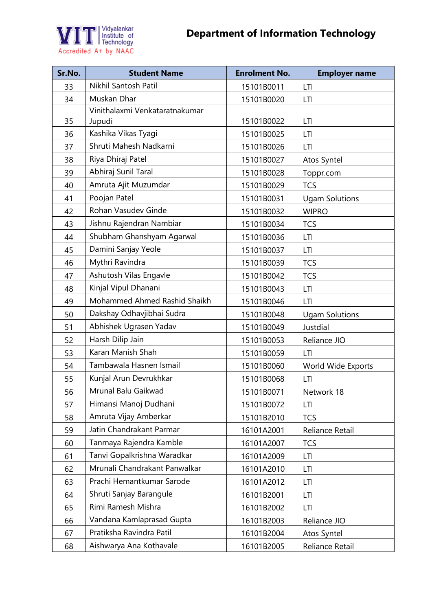

| Sr.No. | <b>Student Name</b>            | <b>Enrolment No.</b> | <b>Employer name</b>  |
|--------|--------------------------------|----------------------|-----------------------|
| 33     | Nikhil Santosh Patil           | 15101B0011           | LTI                   |
| 34     | Muskan Dhar                    | 15101B0020           | LTI                   |
|        | Vinithalaxmi Venkataratnakumar |                      |                       |
| 35     | Jupudi                         | 15101B0022           | LTI                   |
| 36     | Kashika Vikas Tyagi            | 15101B0025           | LTI                   |
| 37     | Shruti Mahesh Nadkarni         | 15101B0026           | LTI                   |
| 38     | Riya Dhiraj Patel              | 15101B0027           | Atos Syntel           |
| 39     | Abhiraj Sunil Taral            | 15101B0028           | Toppr.com             |
| 40     | Amruta Ajit Muzumdar           | 15101B0029           | <b>TCS</b>            |
| 41     | Poojan Patel                   | 15101B0031           | <b>Ugam Solutions</b> |
| 42     | Rohan Vasudev Ginde            | 15101B0032           | <b>WIPRO</b>          |
| 43     | Jishnu Rajendran Nambiar       | 15101B0034           | <b>TCS</b>            |
| 44     | Shubham Ghanshyam Agarwal      | 15101B0036           | LTI                   |
| 45     | Damini Sanjay Yeole            | 15101B0037           | LTI                   |
| 46     | Mythri Ravindra                | 15101B0039           | <b>TCS</b>            |
| 47     | Ashutosh Vilas Engavle         | 15101B0042           | <b>TCS</b>            |
| 48     | Kinjal Vipul Dhanani           | 15101B0043           | LTI                   |
| 49     | Mohammed Ahmed Rashid Shaikh   | 15101B0046           | LTI                   |
| 50     | Dakshay Odhavjibhai Sudra      | 15101B0048           | <b>Ugam Solutions</b> |
| 51     | Abhishek Ugrasen Yadav         | 15101B0049           | Justdial              |
| 52     | Harsh Dilip Jain               | 15101B0053           | Reliance JIO          |
| 53     | Karan Manish Shah              | 15101B0059           | LTI                   |
| 54     | Tambawala Hasnen Ismail        | 15101B0060           | World Wide Exports    |
| 55     | Kunjal Arun Devrukhkar         | 15101B0068           | LTI                   |
| 56     | Mrunal Balu Gaikwad            | 15101B0071           | Network 18            |
| 57     | Himansi Manoj Dudhani          | 15101B0072           | LTI                   |
| 58     | Amruta Vijay Amberkar          | 15101B2010           | <b>TCS</b>            |
| 59     | Jatin Chandrakant Parmar       | 16101A2001           | Reliance Retail       |
| 60     | Tanmaya Rajendra Kamble        | 16101A2007           | <b>TCS</b>            |
| 61     | Tanvi Gopalkrishna Waradkar    | 16101A2009           | LTI                   |
| 62     | Mrunali Chandrakant Panwalkar  | 16101A2010           | LTI                   |
| 63     | Prachi Hemantkumar Sarode      | 16101A2012           | LTI                   |
| 64     | Shruti Sanjay Barangule        | 16101B2001           | LTI                   |
| 65     | Rimi Ramesh Mishra             | 16101B2002           | LTI                   |
| 66     | Vandana Kamlaprasad Gupta      | 16101B2003           | Reliance JIO          |
| 67     | Pratiksha Ravindra Patil       | 16101B2004           | Atos Syntel           |
| 68     | Aishwarya Ana Kothavale        | 16101B2005           | Reliance Retail       |
|        |                                |                      |                       |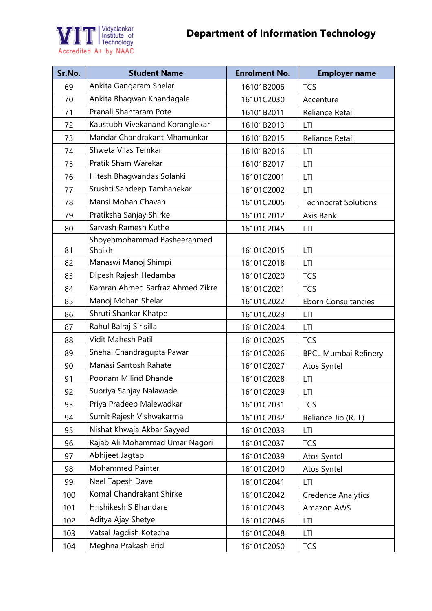



| Sr.No. | <b>Student Name</b>                   | <b>Enrolment No.</b> | <b>Employer name</b>        |
|--------|---------------------------------------|----------------------|-----------------------------|
| 69     | Ankita Gangaram Shelar                | 16101B2006           | <b>TCS</b>                  |
| 70     | Ankita Bhagwan Khandagale             | 16101C2030           | Accenture                   |
| 71     | Pranali Shantaram Pote                | 16101B2011           | Reliance Retail             |
| 72     | Kaustubh Vivekanand Koranglekar       | 16101B2013           | LTI                         |
| 73     | Mandar Chandrakant Mhamunkar          | 16101B2015           | Reliance Retail             |
| 74     | Shweta Vilas Temkar                   | 16101B2016           | LTI                         |
| 75     | Pratik Sham Warekar                   | 16101B2017           | LTI                         |
| 76     | Hitesh Bhagwandas Solanki             | 16101C2001           | LTI                         |
| 77     | Srushti Sandeep Tamhanekar            | 16101C2002           | LTI                         |
| 78     | Mansi Mohan Chavan                    | 16101C2005           | <b>Technocrat Solutions</b> |
| 79     | Pratiksha Sanjay Shirke               | 16101C2012           | Axis Bank                   |
| 80     | Sarvesh Ramesh Kuthe                  | 16101C2045           | LTI                         |
| 81     | Shoyebmohammad Basheerahmed<br>Shaikh | 16101C2015           | LTI                         |
| 82     | Manaswi Manoj Shimpi                  | 16101C2018           | LTI                         |
| 83     | Dipesh Rajesh Hedamba                 | 16101C2020           | <b>TCS</b>                  |
| 84     | Kamran Ahmed Sarfraz Ahmed Zikre      | 16101C2021           | <b>TCS</b>                  |
| 85     | Manoj Mohan Shelar                    | 16101C2022           | <b>Eborn Consultancies</b>  |
| 86     | Shruti Shankar Khatpe                 | 16101C2023           | LTI                         |
| 87     | Rahul Balraj Sirisilla                | 16101C2024           | LTI                         |
| 88     | Vidit Mahesh Patil                    | 16101C2025           | <b>TCS</b>                  |
| 89     | Snehal Chandragupta Pawar             | 16101C2026           | <b>BPCL Mumbai Refinery</b> |
| 90     | Manasi Santosh Rahate                 | 16101C2027           | Atos Syntel                 |
| 91     | Poonam Milind Dhande                  | 16101C2028           | LTI                         |
| 92     | Supriya Sanjay Nalawade               | 16101C2029           | LTI                         |
| 93     | Priya Pradeep Malewadkar              | 16101C2031           | <b>TCS</b>                  |
| 94     | Sumit Rajesh Vishwakarma              | 16101C2032           | Reliance Jio (RJIL)         |
| 95     | Nishat Khwaja Akbar Sayyed            | 16101C2033           | LTI                         |
| 96     | Rajab Ali Mohammad Umar Nagori        | 16101C2037           | <b>TCS</b>                  |
| 97     | Abhijeet Jagtap                       | 16101C2039           | Atos Syntel                 |
| 98     | <b>Mohammed Painter</b>               | 16101C2040           | Atos Syntel                 |
| 99     | Neel Tapesh Dave                      | 16101C2041           | LTI                         |
| 100    | Komal Chandrakant Shirke              | 16101C2042           | <b>Credence Analytics</b>   |
| 101    | Hrishikesh S Bhandare                 | 16101C2043           | Amazon AWS                  |
| 102    | Aditya Ajay Shetye                    | 16101C2046           | LTI                         |
| 103    | Vatsal Jagdish Kotecha                | 16101C2048           | LTI                         |
| 104    | Meghna Prakash Brid                   | 16101C2050           | TCS                         |